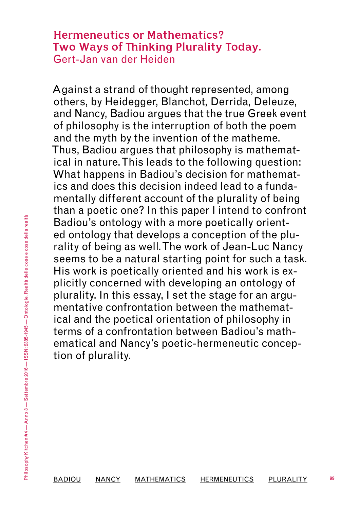# **Hermeneutics or Mathematics? Two Ways of Thinking Plurality Today.** Gert-Jan van der Heiden

Against a strand of thought represented, among others, by Heidegger, Blanchot, Derrida, Deleuze, and Nancy, Badiou argues that the true Greek event of philosophy is the interruption of both the poem and the myth by the invention of the matheme. Thus, Badiou argues that philosophy is mathematical in nature. This leads to the following question: What happens in Badiou's decision for mathematics and does this decision indeed lead to a fundamentally different account of the plurality of being than a poetic one? In this paper I intend to confront Badiou's ontology with a more poetically oriented ontology that develops a conception of the plurality of being as well. The work of Jean-Luc Nancy seems to be a natural starting point for such a task. His work is poetically oriented and his work is explicitly concerned with developing an ontology of plurality. In this essay, I set the stage for an argumentative confrontation between the mathematical and the poetical orientation of philosophy in terms of a confrontation between Badiou's mathematical and Nancy's poetic-hermeneutic conception of plurality.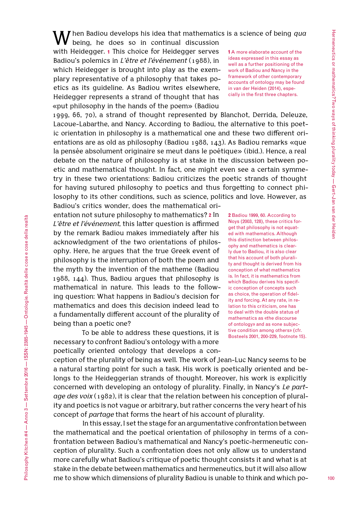When Badiou develops his idea that mathematics is a science of being *qua* being, he does so in continual discussion

with Heidegger. **1** This choice for Heidegger serves Badiou's polemics in *L'être et l'événement* (1988), in which Heidegger is brought into play as the exemplary representative of a philosophy that takes poetics as its guideline. As Badiou writes elsewhere, Heidegger represents a strand of thought that has «put philosophy in the hands of the poem» (Badiou

1999, 66, 70), a strand of thought represented by Blanchot, Derrida, Deleuze, Lacoue-Labarthe, and Nancy. According to Badiou, the alternative to this poetic orientation in philosophy is a mathematical one and these two different orientations are as old as philosophy (Badiou 1988, 143). As Badiou remarks «que la pensée absolument originaire se meut dans le poétique» (ibid.). Hence, a real debate on the nature of philosophy is at stake in the discussion between poetic and mathematical thought. In fact, one might even see a certain symmetry in these two orientations: Badiou criticizes the poetic strands of thought for having sutured philosophy to poetics and thus forgetting to connect philosophy to its other conditions, such as science, politics and love. However, as Badiou's critics wonder, does the mathematical ori-

entation not suture philosophy to mathematics? **2** In *L'être et l'événement*, this latter question is affirmed by the remark Badiou makes immediately after his acknowledgment of the two orientations of philosophy. Here, he argues that the true Greek event of philosophy is the interruption of both the poem and the myth by the invention of the matheme (Badiou 1988, 144). Thus, Badiou argues that philosophy is mathematical in nature. This leads to the following question: What happens in Badiou's decision for mathematics and does this decision indeed lead to a fundamentally different account of the plurality of being than a poetic one?

To be able to address these questions, it is necessary to confront Badiou's ontology with a more poetically oriented ontology that develops a con**1** A more elaborate account of the ideas expressed in this essay as well as a further positioning of the work of Badiou and Nancy in the framework of other contemporary accounts of ontology may be found in van der Heiden (2014), especially in the first three chapters.

**2** Badiou 1999, 60. According to Noys (2003, 128), these critics forget that philosophy is not equated with mathematics. Although this distinction between philosophy and mathematics is clearly due to Badiou, it is also clear that his account of both plurality and thought is derived from his conception of what mathematics is. In fact, it is mathematics from which Badiou derives his specific conception of concepts such as choice, the operation of fidelity and forcing. At any rate, in relation to this criticism, one has to deal with the double status of mathematics as «the discourse of ontology» and as «one subjective condition among others» (cfr. Bosteels 2001, 200-229, footnote 15).

ception of the plurality of being as well. The work of Jean-Luc Nancy seems to be a natural starting point for such a task. His work is poetically oriented and belongs to the Heideggerian strands of thought. Moreover, his work is explicitly concerned with developing an ontology of plurality. Finally, in Nancy's *Le partage des voix* (1982), it is clear that the relation between his conception of plurality and poetics is not vague or arbitrary, but rather concerns the very heart of his concept of *partage* that forms the heart of his account of plurality.

In this essay, I set the stage for an argumentative confrontation between the mathematical and the poetical orientation of philosophy in terms of a confrontation between Badiou's mathematical and Nancy's poetic-hermeneutic conception of plurality. Such a confrontation does not only allow us to understand more carefully what Badiou's critique of poetic thought consists it and what is at stake in the debate between mathematics and hermeneutics, but it will also allow me to show which dimensions of plurality Badiou is unable to think and which po-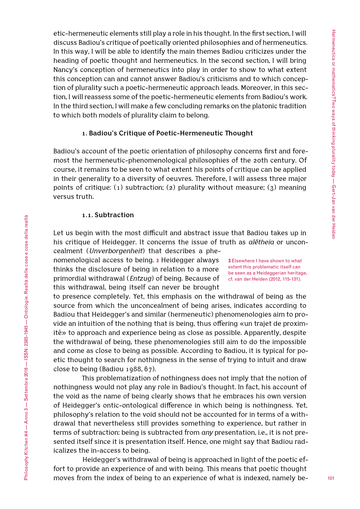etic-hermeneutic elements still play a role in his thought. In the first section, I will discuss Badiou's critique of poetically oriented philosophies and of hermeneutics. In this way, I will be able to identify the main themes Badiou criticizes under the heading of poetic thought and hermeneutics. In the second section, I will bring Nancy's conception of hermeneutics into play in order to show to what extent this conception can and cannot answer Badiou's criticisms and to which conception of plurality such a poetic-hermeneutic approach leads. Moreover, in this section, I will reassess some of the poetic-hermeneutic elements from Badiou's work. In the third section, I will make a few concluding remarks on the platonic tradition to which both models of plurality claim to belong.

# **1. Badiou's Critique of Poetic-Hermeneutic Thought**

Badiou's account of the poetic orientation of philosophy concerns first and foremost the hermeneutic-phenomenological philosophies of the 20th century. Of course, it remains to be seen to what extent his points of critique can be applied in their generality to a diversity of oeuvres. Therefore, I will assess three major points of critique:  $(1)$  subtraction;  $(2)$  plurality without measure;  $(3)$  meaning versus truth.

#### **1.1. Subtraction**

Let us begin with the most difficult and abstract issue that Badiou takes up in his critique of Heidegger. It concerns the issue of truth as *alētheia* or unconcealment (*Unverborgenheit*) that describes a phe-

> **3** Elsewhere I have shown to what extent this problematic itself can be seen as a Heideggerian heritage, cf. van der Heiden (2012, 115-131).

nomenological access to being. **3** Heidegger always thinks the disclosure of being in relation to a more primordial withdrawal (*Entzug*) of being. Because of this withdrawal, being itself can never be brought

to presence completely. Yet, this emphasis on the withdrawal of being as the source from which the unconcealment of being arises, indicates according to Badiou that Heidegger's and similar (hermeneutic) phenomenologies aim to provide an intuition of the nothing that is being, thus offering «un trajet de proximité» to approach and experience being as close as possible. Apparently, despite the withdrawal of being, these phenomenologies still aim to do the impossible and come as close to being as possible. According to Badiou, it is typical for poetic thought to search for nothingness in the sense of trying to intuit and draw close to being (Badiou 1988, 67).

This problematization of nothingness does not imply that the notion of nothingness would not play any role in Badiou's thought. In fact, his account of the void as the name of being clearly shows that he embraces his own version of Heidegger's ontic-ontological difference in which being is nothingness. Yet, philosophy's relation to the void should not be accounted for in terms of a withdrawal that nevertheless still provides something to experience, but rather in terms of subtraction: being is subtracted from *any* presentation, i.e., it is not presented itself since it is presentation itself. Hence, one might say that Badiou radicalizes the in-access to being.

Heidegger's withdrawal of being is approached in light of the poetic effort to provide an experience of and with being. This means that poetic thought moves from the index of being to an experience of what is indexed, namely be-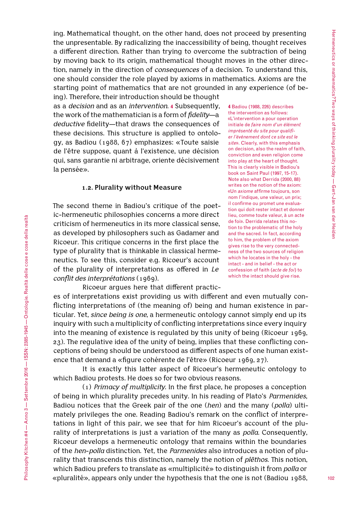ing. Mathematical thought, on the other hand, does not proceed by presenting the unpresentable. By radicalizing the inaccessibility of being, thought receives a different direction. Rather than trying to overcome the subtraction of being by moving back to its origin, mathematical thought moves in the other direction, namely in the direction of *consequences* of a decision. To understand this, one should consider the role played by axioms in mathematics. Axioms are the starting point of mathematics that are not grounded in any experience (of be-

ing). Therefore, their introduction should be thought as a *decision* and as an *intervention*. **4** Subsequently, the work of the mathematician is a form of *fidelity*—a *deductive* fidelity—that draws the consequences of these decisions. This structure is applied to ontology, as Badiou (1988, 67) emphasizes: «Toute saisie de l'être suppose, quant à l'existence, une décision qui, sans garantie ni arbitrage, oriente décisivement la pensée».

#### **1.2. Plurality without Measure**

The second theme in Badiou's critique of the poetic-hermeneutic philosophies concerns a more direct criticism of hermeneutics in its more classical sense, as developed by philosophers such as Gadamer and Ricoeur. This critique concerns in the first place the type of plurality that is thinkable in classical hermeneutics. To see this, consider e.g. Ricoeur's account of the plurality of interpretations as offered in *Le conflit des interprétations* (1969).

**4** Badiou (1988, 226) describes the intervention as follows: «L'intervention a pour operation initiale de *faire nom d'un élément imprésenté du site pour qualifier l'événement dont ce site est le site*». Clearly, with this emphasis on decision, also the realm of faith, conviction and even religion come into play at the heart of thought. This is clearly visible in Badiou's book on Saint Paul (1997, 15-17). Note also what Derrida (2000, 88) writes on the notion of the axiom: «Un *axiome* affirme toujours, son nom l'indique, une valeur, un prix; il confirme ou promet une evaluation qui doit rester intact et donner lieu, comme toute valeur, à un acte de foi». Derrida relates this notion to the problematic of the holy and the sacred. In fact, according to him, the problem of the axiom gives rise to the very connectedness of the two sources of religion which he locates in the holy - the intact - and in belief - the act or confession of faith (*acte de foi*) to which the intact should give rise.

Ricoeur argues here that different practic-

es of interpretations exist providing us with different and even mutually conflicting interpretations of (the meaning of) being and human existence in particular. Yet, *since being is one*, a hermeneutic ontology cannot simply end up its inquiry with such a multiplicity of conflicting interpretations since every inquiry into the meaning of existence is regulated by this unity of being (Ricoeur 1969, 23). The regulative idea of the unity of being, implies that these conflicting conceptions of being should be understood as different aspects of one human existence that demand a «figure cohérente de l'être» (Ricoeur 1969, 27).

It is exactly this latter aspect of Ricoeur's hermeneutic ontology to which Badiou protests. He does so for two obvious reasons.

(1) *Primacy of multiplicity*. In the first place, he proposes a conception of being in which plurality precedes unity. In his reading of Plato's *Parmenides*, Badiou notices that the Greek pair of the one (*hen*) and the many (*polla*) ultimately privileges the one. Reading Badiou's remark on the conflict of interpretations in light of this pair, we see that for him Ricoeur's account of the plurality of interpretations is just a variation of the many as *polla*. Consequently, Ricoeur develops a hermeneutic ontology that remains within the boundaries of the *hen*-*polla* distinction. Yet, the *Parmenides* also introduces a notion of plurality that transcends this distinction, namely the notion of *plēthos*. This notion, which Badiou prefers to translate as «multiplicité» to distinguish it from *polla* or «pluralité», appears only under the hypothesis that the one is not (Badiou 1988,

Philosophy Kitchen #4 — Anno 3 — Settembre 2016 — ISSN: 2385-1945 — Ontologie. Realtà delle cose e cose della realtà

Philosophy Kitchen #4 — Anno 3 — Settembre 2016 — ISSN: 2385-1945 — Ontologie. Realtà delle cose e cose della realtà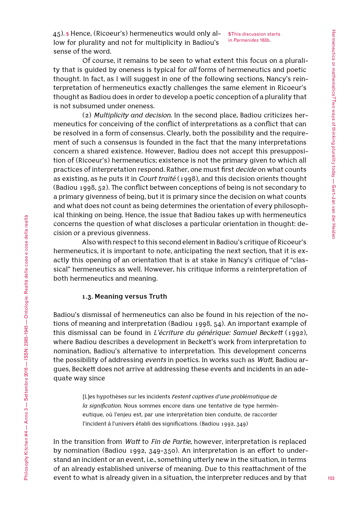45). **5** Hence, (Ricoeur's) hermeneutics would only allow for plurality and not for multiplicity in Badiou's sense of the word.

**5** This discussion starts in *Parmenides* 163b.

Of course, it remains to be seen to what extent this focus on a plurality that is guided by oneness is typical for *all* forms of hermeneutics and poetic thought. In fact, as I will suggest in one of the following sections, Nancy's reinterpretation of hermeneutics exactly challenges the same element in Ricoeur's thought as Badiou does in order to develop a poetic conception of a plurality that is not subsumed under oneness.

(2) *Multiplicity and decision*. In the second place, Badiou criticizes hermeneutics for conceiving of the conflict of interpretations as a conflict that can be resolved in a form of consensus. Clearly, both the possibility and the requirement of such a consensus is founded in the fact that the many interpretations concern a shared existence. However, Badiou does not accept this presupposition of (Ricoeur's) hermeneutics; existence is not the primary given to which all practices of interpretation respond. Rather, one must first *decide* on what counts as existing, as he puts it in *Court traité* (1998), and this decision orients thought (Badiou 1998, 52). The conflict between conceptions of being is not secondary to a primary givenness of being, but it is primary since the decision on what counts and what does not count as being determines the orientation of every philosophical thinking on being. Hence, the issue that Badiou takes up with hermeneutics concerns the question of what discloses a particular orientation in thought: decision or a previous givenness.

Also with respect to this second element in Badiou's critique of Ricoeur's hermeneutics, it is important to note, anticipating the next section, that it is exactly this opening of an orientation that is at stake in Nancy's critique of "classical" hermeneutics as well. However, his critique informs a reinterpretation of both hermeneutics and meaning.

#### **1.3. Meaning versus Truth**

Badiou's dismissal of hermeneutics can also be found in his rejection of the notions of meaning and interpretation (Badiou 1998, 54). An important example of this dismissal can be found in *L'écriture du générique: Samuel Beckett* (1992), where Badiou describes a development in Beckett's work from interpretation to nomination, Badiou's alternative to interpretation. This development concerns the possibility of addressing *events* in poetics. In works such as *Watt*, Badiou argues, Beckett does not arrive at addressing these events and incidents in an adequate way since

> [L]es hypothèses sur les incidents *restent captives d'une problématique de la signification*. Nous sommes encore dans une tentative de type herméneutique, où l'enjeu est, par une interprétation bien conduite, de raccorder l'incident à l'univers établi des significations. (Badiou 1992, 349)

In the transition from *Watt* to *Fin de Partie*, however, interpretation is replaced by nomination (Badiou 1992, 349-350). An interpretation is an effort to understand an incident or an event, i.e., something utterly new in the situation, in terms of an already established universe of meaning. Due to this reattachment of the event to what is already given in a situation, the interpreter reduces and by that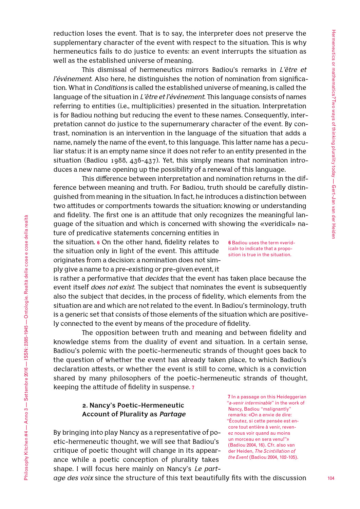reduction loses the event. That is to say, the interpreter does not preserve the supplementary character of the event with respect to the situation. This is why hermeneutics fails to do justice to events: an event interrupts the situation as well as the established universe of meaning.

This dismissal of hermeneutics mirrors Badiou's remarks in *L'être et l'événement*. Also here, he distinguishes the notion of nomination from signification. What in *Conditions* is called the established universe of meaning, is called the language of the situation in *L'être et l'événement*. This language consists of names referring to entities (i.e., multiplicities) presented in the situation. Interpretation is for Badiou nothing but reducing the event to these names. Consequently, interpretation cannot do justice to the supernumerary character of the event. By contrast, nomination is an intervention in the language of the situation that adds a name, namely the name of the event, to this language. This latter name has a peculiar status: it is an empty name since it does not refer to an entity presented in the situation (Badiou 1988, 436-437). Yet, this simply means that nomination introduces a new name opening up the possibility of a renewal of this language.

This difference between interpretation and nomination returns in the difference between meaning and truth. For Badiou, truth should be carefully distinguished from meaning in the situation. In fact, he introduces a distinction between two attitudes or comportments towards the situation: knowing or understanding and fidelity. The first one is an attitude that only recognizes the meaningful language of the situation and which is concerned with showing the «veridical» na-

ture of predicative statements concerning entities in the situation. **6** On the other hand, fidelity relates to the situation only in light of the event. This attitude originates from a decision: a nomination does not simply give a name to a pre-existing or pre-given event, it

is rather a performative that *decides* that the event has taken place because the event itself *does not exist*. The subject that nominates the event is subsequently also the subject that decides, in the process of fidelity, which elements from the situation are and which are not related to the event. In Badiou's terminology, truth is a generic set that consists of those elements of the situation which are positively connected to the event by means of the procedure of fidelity.

The opposition between truth and meaning and between fidelity and knowledge stems from the duality of event and situation. In a certain sense, Badiou's polemic with the poetic-hermeneutic strands of thought goes back to the question of whether the event has already taken place, to which Badiou's declaration attests, or whether the event is still to come, which is a conviction shared by many philosophers of the poetic-hermeneutic strands of thought, keeping the attitude of fidelity in suspense. **7**

# **2. Nancy's Poetic-Hermeneutic Account of Plurality as** *Partage*

Philosophy Kitchen #4 — Anno 3 — Settembre 2016 — ISSN: 2385-1945 — Ontologie. Realtà delle cose e cose della realtà

Philosophy Kitchen #4 — Anno 3 — Settembre 2016 — ISSN: 2385-1945 — Ontologie. Realtà delle cose e cose della realtà

By bringing into play Nancy as a representative of poetic-hermeneutic thought, we will see that Badiou's critique of poetic thought will change in its appearance while a poetic conception of plurality takes shape. I will focus here mainly on Nancy's *Le part-*

**7** In a passage on this Heideggerian "*a-venir interminable*" in the work of Nancy, Badiou "malignantly" remarks: «On a envie de dire: "Écoutez, si cette pensée est encore tout entière à venir, revenez nous voir quand au moins un morceau en sera venu!"» (Badiou 2004, 16). Cfr. also van der Heiden, *The Scintillation of the Event* (Badiou 2004, 102-105).

*age des voix* since the structure of this text beautifully fits with the discussion

**6** Badiou uses the term «veridical» to indicate that a proposition is true in the situation.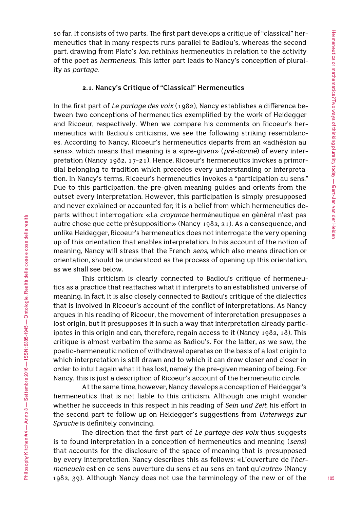so far. It consists of two parts. The first part develops a critique of "classical" hermeneutics that in many respects runs parallel to Badiou's, whereas the second part, drawing from Plato's *Ion*, rethinks hermeneutics in relation to the activity of the poet as *hermeneus*. This latter part leads to Nancy's conception of plurality as *partage*.

### **2.1. Nancy's Critique of "Classical" Hermeneutics**

In the first part of *Le partage des voix* (1982), Nancy establishes a difference between two conceptions of hermeneutics exemplified by the work of Heidegger and Ricoeur, respectively. When we compare his comments on Ricoeur's hermeneutics with Badiou's criticisms, we see the following striking resemblances. According to Nancy, Ricoeur's hermeneutics departs from an «adhésion au sens», which means that meaning is a «pre-given» (*pré-donné*) of every interpretation (Nancy 1982, 17-21). Hence, Ricoeur's hermeneutics invokes a primordial belonging to tradition which precedes every understanding or interpretation. In Nancy's terms, Ricoeur's hermeneutics invokes a "participation au sens." Due to this participation, the pre-given meaning guides and orients from the outset every interpretation. However, this participation is simply presupposed and never explained or accounted for; it is a belief from which hermeneutics departs without interrogation: «La *croyance* herméneutique en général n'est pas autre chose que cette présupposition» (Nancy 1982, 21). As a consequence, and unlike Heidegger, Ricoeur's hermeneutics does not interrogate the very opening up of this orientation that enables interpretation. In his account of the notion of meaning, Nancy will stress that the French *sens*, which also means direction or orientation, should be understood as the process of opening up this orientation, as we shall see below.

This criticism is clearly connected to Badiou's critique of hermeneutics as a practice that reattaches what it interprets to an established universe of meaning. In fact, it is also closely connected to Badiou's critique of the dialectics that is involved in Ricoeur's account of the conflict of interpretations. As Nancy argues in his reading of Ricoeur, the movement of interpretation presupposes a lost origin, but it presupposes it in such a way that interpretation already participates in this origin and can, therefore, regain access to it (Nancy 1982, 18). This critique is almost verbatim the same as Badiou's. For the latter, as we saw, the poetic-hermeneutic notion of withdrawal operates on the basis of a lost origin to which interpretation is still drawn and to which it can draw closer and closer in order to intuit again what it has lost, namely the pre-given meaning of being. For Nancy, this is just a description of Ricoeur's account of the hermeneutic circle.

At the same time, however, Nancy develops a conception of Heidegger's hermeneutics that is not liable to this criticism. Although one might wonder whether he succeeds in this respect in his reading of *Sein und Zeit*, his effort in the second part to follow up on Heidegger's suggestions from *Unterwegs zur Sprache* is definitely convincing.

The direction that the first part of *Le partage des voix* thus suggests is to found interpretation in a conception of hermeneutics and meaning (*sens*) that accounts for the disclosure of the space of meaning that is presupposed by every interpretation. Nancy describes this as follows: «L'ouverture de l'*hermeneuein* est en ce sens ouverture du sens et au sens en tant qu'*autre*» (Nancy 1982, 39). Although Nancy does not use the terminology of the new or of the

Philosophy Kitchen #4 — Anno 3 — Settembre 2016 — ISSN: 2385-1945 — Ontologie. Realtà delle cose e cose della realtà

Philosophy Kitchen #4 — Anno 3 — Settembre 2016 — ISSN: 2385-1945 — Ontologie. Realtà delle cose e cose della realtà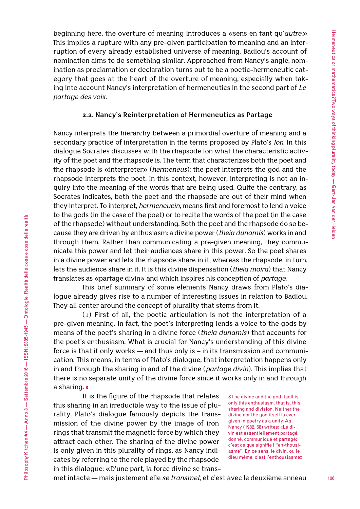beginning here, the overture of meaning introduces a «sens en tant qu'*autre*.» This implies a rupture with any pre-given participation to meaning and an interruption of every already established universe of meaning. Badiou's account of nomination aims to do something similar. Approached from Nancy's angle, nomination as proclamation or declaration turns out to be a poetic-hermeneutic category that goes at the heart of the overture of meaning, especially when taking into account Nancy's interpretation of hermeneutics in the second part of *Le partage des voix*.

#### **2.2. Nancy's Reinterpretation of Hermeneutics as Partage**

Nancy interprets the hierarchy between a primordial overture of meaning and a secondary practice of interpretation in the terms proposed by Plato's *Ion*. In this dialogue Socrates discusses with the rhapsode Ion what the characteristic activity of the poet and the rhapsode is. The term that characterizes both the poet and the rhapsode is «interpreter» (*hermeneus*): the poet interprets the god and the rhapsode interprets the poet. In this context, however, interpreting is not an inquiry into the meaning of the words that are being used. Quite the contrary, as Socrates indicates, both the poet and the rhapsode are out of their mind when they interpret. To interpret, *hermeneuein*, means first and foremost to lend a voice to the gods (in the case of the poet) or to recite the words of the poet (in the case of the rhapsode) without understanding. Both the poet and the rhapsode do so because they are driven by enthusiasm: a divine power (*theia dunamis*) works in and through them. Rather than communicating a pre-given meaning, they communicate this power and let their audiences share in this power. So the poet shares in a divine power and lets the rhapsode share in it, whereas the rhapsode, in turn, lets the audience share in it. It is this divine dispensation (*theia moira*) that Nancy translates as «partage divin» and which inspires his conception of *partage*.

This brief summary of some elements Nancy draws from Plato's dialogue already gives rise to a number of interesting issues in relation to Badiou. They all center around the concept of plurality that stems from it.

(1) First of all, the poetic articulation is not the interpretation of a pre-given meaning. In fact, the poet's interpreting lends a voice to the gods by means of the poet's sharing in a divine force (*theia dunamis*) that accounts for the poet's enthusiasm. What is crucial for Nancy's understanding of this divine force is that it only works — and thus only is – in its transmission and communication. This means, in terms of Plato's dialogue, that interpretation happens only in and through the sharing in and of the divine (*partage divin*). This implies that there is no separate unity of the divine force since it works only in and through a sharing. **8**

It is the figure of the rhapsode that relates this sharing in an irreducible way to the issue of plurality. Plato's dialogue famously depicts the transmission of the divine power by the image of iron rings that transmit the magnetic force by which they attract each other. The sharing of the divine power is only given in this plurality of rings, as Nancy indicates by referring to the role played by the rhapsode in this dialogue: «D'une part, la force divine se trans-

**8** The divine and the god itself is only this enthusiasm, that is, this sharing and division. Neither the divine nor the god itself is ever given in poetry as a unity. As Nancy (1982, 68) writes: «Le divin est essentiellement partagé, donné, communiqué et partagé: c'est ce que signifie l'"en-thousiasme". En ce sens, le divin, ou le dieu même, c'est l'enthousiasme».

met intacte — mais justement elle *se transmet,* et c'est avec le deuxième anneau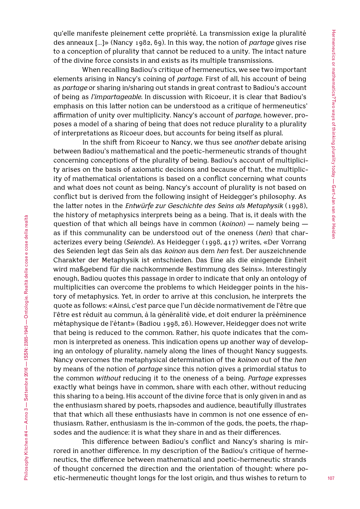qu'elle manifeste pleinement cette propriété. La transmission exige la pluralité des anneaux […]» (Nancy 1982, 69). In this way, the notion of *partage* gives rise to a conception of plurality that cannot be reduced to a unity. The intact nature of the divine force consists in and exists as its multiple transmissions.

When recalling Badiou's critique of hermeneutics, we see two important elements arising in Nancy's coining of *partage*. First of all, his account of being as *partage* or sharing in/sharing out stands in great contrast to Badiou's account of being as *l'impartageable*. In discussion with Ricoeur, it is clear that Badiou's emphasis on this latter notion can be understood as a critique of hermeneutics' affirmation of unity over multiplicity. Nancy's account of *partage*, however, proposes a model of a sharing of being that does not reduce plurality to a plurality of interpretations as Ricoeur does, but accounts for being itself as plural.

In the shift from Ricoeur to Nancy, we thus see *another* debate arising between Badiou's mathematical and the poetic-hermeneutic strands of thought concerning conceptions of the plurality of being. Badiou's account of multiplicity arises on the basis of axiomatic decisions and because of that, the multiplicity of mathematical orientations is based on a conflict concerning what counts and what does not count as being. Nancy's account of plurality is not based on conflict but is derived from the following insight of Heidegger's philosophy. As the latter notes in the *Entwürfe zur Geschichte des Seins als Metaphysik* (1998), the history of metaphysics interprets being as a being. That is, it deals with the question of that which all beings have in common (*koinon*) — namely being as if this communality can be understood out of the oneness (*hen*) that characterizes every being (*Seiende*). As Heidegger (1998, 417) writes, «Der Vorrang des Seienden legt das Sein als das *koinon* aus dem *hen* fest. Der auszeichnende Charakter der Metaphysik ist entschieden. Das Eine als die einigende Einheit wird maßgebend für die nachkommende Bestimmung des Seins». Interestingly enough, Badiou quotes this passage in order to indicate that only an ontology of multiplicities can overcome the problems to which Heidegger points in the history of metaphysics. Yet, in order to arrive at this conclusion, he interprets the quote as follows: «Ainsi, c'est parce que l'un décide normativement de l'être que l'être est réduit au commun, à la généralité vide, et doit endurer la prééminence métaphysique de l'étant» (Badiou 1998, 26). However, Heidegger does not write that being is reduced to the common. Rather, his quote indicates that the common is interpreted as oneness. This indication opens up another way of developing an ontology of plurality, namely along the lines of thought Nancy suggests. Nancy overcomes the metaphysical determination of the *koinon* out of the *hen* by means of the notion of *partage* since this notion gives a primordial status to the common *without* reducing it to the oneness of a being. *Partage* expresses exactly what beings have in common, share with each other, without reducing this sharing to a being. His account of the divine force that is only given in and as the enthusiasm shared by poets, rhapsodes and audience, beautifully illustrates that that which all these enthusiasts have in common is not one essence of enthusiasm. Rather, enthusiasm is the in-common of the gods, the poets, the rhapsodes and the audience: it is what they share in and as their differences.

This difference between Badiou's conflict and Nancy's sharing is mirrored in another difference. In my description of the Badiou's critique of hermeneutics, the difference between mathematical and poetic-hermeneutic strands of thought concerned the direction and the orientation of thought: where poetic-hermeneutic thought longs for the lost origin, and thus wishes to return to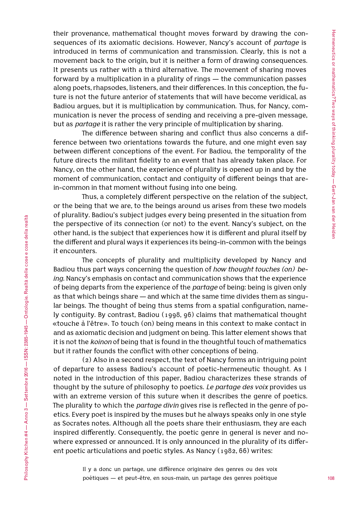their provenance, mathematical thought moves forward by drawing the consequences of its axiomatic decisions. However, Nancy's account of *partage* is introduced in terms of communication and transmission. Clearly, this is not a movement back to the origin, but it is neither a form of drawing consequences. It presents us rather with a third alternative. The movement of sharing moves forward by a multiplication in a plurality of rings — the communication passes along poets, rhapsodes, listeners, and their differences. In this conception, the future is not the future anterior of statements that will have become veridical, as Badiou argues, but it is multiplication by communication. Thus, for Nancy, communication is never the process of sending and receiving a pre-given message, but as *partage* it is rather the very principle of multiplication by sharing.

The difference between sharing and conflict thus also concerns a difference between two orientations towards the future, and one might even say between different conceptions of the event. For Badiou, the temporality of the future directs the militant fidelity to an event that has already taken place. For Nancy, on the other hand, the experience of plurality is opened up in and by the moment of communication, contact and contiguity of different beings that arein-common in that moment without fusing into one being.

Thus, a completely different perspective on the relation of the subject, or the being that we are, to the beings around us arises from these two models of plurality. Badiou's subject judges every being presented in the situation from the perspective of its connection (or not) to the event. Nancy's subject, on the other hand, is the subject that experiences how it is different and plural itself by the different and plural ways it experiences its being-in-common with the beings it encounters.

The concepts of plurality and multiplicity developed by Nancy and Badiou thus part ways concerning the question of *how thought touches (on) being*. Nancy's emphasis on contact and communication shows that the experience of being departs from the experience of the *partage* of being: being is given only as that which beings share — and which at the same time divides them as singular beings. The thought of being thus stems from a spatial configuration, namely contiguity. By contrast, Badiou (1998, 96) claims that mathematical thought «touche à l'être». To touch (on) being means in this context to make contact in and as axiomatic decision and judgment on being. This latter element shows that it is not the *koinon* of being that is found in the thoughtful touch of mathematics but it rather founds the conflict with other conceptions of being.

(2) Also in a second respect, the text of Nancy forms an intriguing point of departure to assess Badiou's account of poetic-hermeneutic thought. As I noted in the introduction of this paper, Badiou characterizes these strands of thought by the suture of philosophy to poetics. *Le partage des voix* provides us with an extreme version of this suture when it describes the genre of poetics. The plurality to which the *partage divin* gives rise is reflected in the genre of poetics. Every poet is inspired by the muses but he always speaks only in one style as Socrates notes. Although all the poets share their enthusiasm, they are each inspired differently. Consequently, the poetic genre in general is never and nowhere expressed or announced. It is only announced in the plurality of its different poetic articulations and poetic styles. As Nancy (1982, 66) writes:

> Il y a donc un partage, une différence originaire des genres ou des voix poétiques — et peut-être, en sous-main, un partage des genres poétique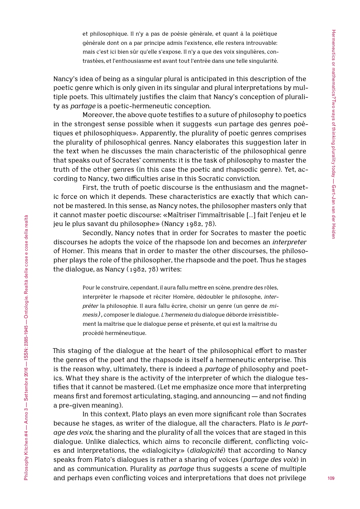et philosophique. Il n'y a pas de poésie générale, et quant à la poiétique générale dont on a par principe admis l'existence, elle restera introuvable: mais c'est ici bien sûr qu'elle s'expose. Il n'y a que des voix singulières, contrastées, et l'enthousiasme est avant tout l'entrée dans une telle singularité.

Nancy's idea of being as a singular plural is anticipated in this description of the poetic genre which is only given in its singular and plural interpretations by multiple poets. This ultimately justifies the claim that Nancy's conception of plurality as *partage* is a poetic-hermeneutic conception.

Moreover, the above quote testifies to a suture of philosophy to poetics in the strongest sense possible when it suggests «un partage des genres poétiques et philosophiques». Apparently, the plurality of poetic genres comprises the plurality of philosophical genres. Nancy elaborates this suggestion later in the text when he discusses the main characteristic of the philosophical genre that speaks out of Socrates' comments: it is the task of philosophy to master the truth of the other genres (in this case the poetic and rhapsodic genre). Yet, according to Nancy, two difficulties arise in this Socratic conviction.

First, the truth of poetic discourse is the enthusiasm and the magnetic force on which it depends. These characteristics are exactly that which cannot be mastered. In this sense, as Nancy notes, the philosopher masters only that it cannot master poetic discourse: «Maîtriser l'immaîtrisable […] fait l'enjeu et le jeu le plus savant du philosophe» (Nancy 1982, 78).

Secondly, Nancy notes that in order for Socrates to master the poetic discourses he adopts the voice of the rhapsode Ion and becomes an *interpreter* of Homer. This means that in order to master the other discourses, the philosopher plays the role of the philosopher, the rhapsode and the poet. Thus he stages the dialogue, as Nancy (1982, 78) writes:

> Pour le construire, cependant, il aura fallu mettre en scène, prendre des rôles, interpréter le rhapsode et réciter Homère, dédoubler le philosophe, *interpréter* la philosophie. Il aura fallu écrire, choisir un genre (un genre de *mimesis),* composer le dialogue. *L'hermeneia* du dialogue déborde irrésistiblement la maîtrise que le dialogue pense et présente, et qui est la maîtrise du procédé herméneutique.

This staging of the dialogue at the heart of the philosophical effort to master the genres of the poet and the rhapsode is itself a hermeneutic enterprise. This is the reason why, ultimately, there is indeed a *partage* of philosophy and poetics. What they share is the activity of the interpreter of which the dialogue testifies that it cannot be mastered. (Let me emphasize once more that interpreting means first and foremost articulating, staging, and announcing — and not finding a pre-given meaning).

In this context, Plato plays an even more significant role than Socrates because he stages, as writer of the dialogue, all the characters. Plato is *le partage des voix*, the sharing and the plurality of all the voices that are staged in this dialogue. Unlike dialectics, which aims to reconcile different, conflicting voices and interpretations, the «dialogicity» (*dialogicité*) that according to Nancy speaks from Plato's dialogues is rather a sharing of voices (*partage des voix*) in and as communication. Plurality as *partage* thus suggests a scene of multiple and perhaps even conflicting voices and interpretations that does not privilege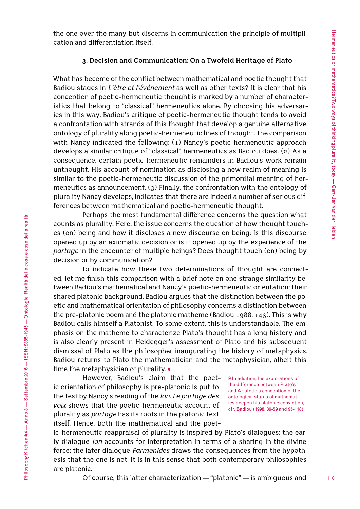the one over the many but discerns in communication the principle of multiplication and differentiation itself.

### **3. Decision and Communication: On a Twofold Heritage of Plato**

What has become of the conflict between mathematical and poetic thought that Badiou stages in *L'être et l'événement* as well as other texts? It is clear that his conception of poetic-hermeneutic thought is marked by a number of characteristics that belong to "classical" hermeneutics alone. By choosing his adversaries in this way, Badiou's critique of poetic-hermeneutic thought tends to avoid a confrontation with strands of this thought that develop a genuine alternative ontology of plurality along poetic-hermeneutic lines of thought. The comparison with Nancy indicated the following: (1) Nancy's poetic-hermeneutic approach develops a similar critique of "classical" hermeneutics as Badiou does. (2) As a consequence, certain poetic-hermeneutic remainders in Badiou's work remain unthought. His account of nomination as disclosing a new realm of meaning is similar to the poetic-hermeneutic discussion of the primordial meaning of hermeneutics as announcement. (3) Finally, the confrontation with the ontology of plurality Nancy develops, indicates that there are indeed a number of serious differences between mathematical and poetic-hermeneutic thought.

Perhaps the most fundamental difference concerns the question what counts as plurality. Here, the issue concerns the question of how thought touches (on) being and how it discloses a new discourse on being: Is this discourse opened up by an axiomatic decision or is it opened up by the experience of the *partage* in the encounter of multiple beings? Does thought touch (on) being by decision or by communication?

To indicate how these two determinations of thought are connected, let me finish this comparison with a brief note on one strange similarity between Badiou's mathematical and Nancy's poetic-hermeneutic orientation: their shared platonic background. Badiou argues that the distinction between the poetic and mathematical orientation of philosophy concerns a distinction between the pre-platonic poem and the platonic matheme (Badiou 1988, 143). This is why Badiou calls himself a Platonist. To some extent, this is understandable. The emphasis on the matheme to characterize Plato's thought has a long history and is also clearly present in Heidegger's assessment of Plato and his subsequent dismissal of Plato as the philosopher inaugurating the history of metaphysics. Badiou returns to Plato the mathematician and the metaphysician, albeit this time the metaphysician of plurality. **9**

However, Badiou's claim that the poetic orientation of philosophy is pre-platonic is put to the test by Nancy's reading of the *Ion*. *Le partage des voix* shows that the poetic-hermeneutic account of plurality as *partage* has its roots in the platonic text itself. Hence, both the mathematical and the poet-

**9** In addition, his explorations of the difference between Plato's and Aristotle's conception of the ontological status of mathematics deepen his platonic conviction, cfr. Badiou (1998, 39-59 and 95-118).

ic-hermeneutic reappraisal of plurality is inspired by Plato's dialogues: the early dialogue *Ion* accounts for interpretation in terms of a sharing in the divine force; the later dialogue *Parmenides* draws the consequences from the hypothesis that the one is not. It is in this sense that both contemporary philosophies are platonic.

Of course, this latter characterization — "platonic" — is ambiguous and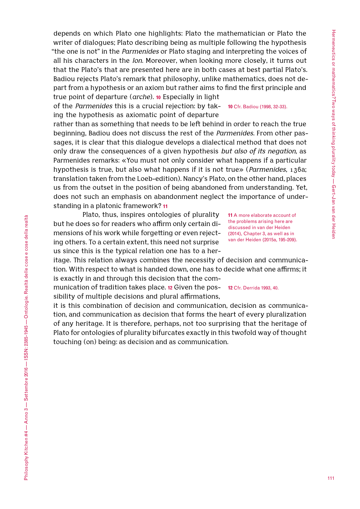depends on which Plato one highlights: Plato the mathematician or Plato the writer of dialogues; Plato describing being as multiple following the hypothesis "the one is not" in the *Parmenides* or Plato staging and interpreting the voices of all his characters in the *Ion*. Moreover, when looking more closely, it turns out that the Plato's that are presented here are in both cases at best partial Plato's. Badiou rejects Plato's remark that philosophy, unlike mathematics, does not depart from a hypothesis or an axiom but rather aims to find the first principle and true point of departure (*arche*). **10** Especially in light

of the *Parmenides* this is a crucial rejection: by tak-**10** Cfr. Badiou (1998, 32-33). ing the hypothesis as axiomatic point of departure

rather than as something that needs to be left behind in order to reach the true beginning, Badiou does not discuss the rest of the *Parmenides*. From other passages, it is clear that this dialogue develops a dialectical method that does not only draw the consequences of a given hypothesis *but also of its negation*, as Parmenides remarks: «You must not only consider what happens if a particular hypothesis is true, but also what happens if it is not true» (*Parmenides*, 136a; translation taken from the Loeb-edition). Nancy's Plato, on the other hand, places us from the outset in the position of being abandoned from understanding. Yet, does not such an emphasis on abandonment neglect the importance of understanding in a platonic framework? **11**

Plato, thus, inspires ontologies of plurality but he does so for readers who affirm only certain dimensions of his work while forgetting or even rejecting others. To a certain extent, this need not surprise us since this is the typical relation one has to a her-

**11** A more elaborate account of the problems arising here are discussed in van der Heiden (2014), Chapter 3, as well as in van der Heiden (2015a, 195-209).

itage. This relation always combines the necessity of decision and communication. With respect to what is handed down, one has to decide what one affirms; it is exactly in and through this decision that the com-

munication of tradition takes place. **12** Given the pos-**12** Cfr. Derrida 1993, 40.sibility of multiple decisions and plural affirmations,

it is this combination of decision and communication, decision as communication, and communication as decision that forms the heart of every pluralization of any heritage. It is therefore, perhaps, not too surprising that the heritage of Plato for ontologies of plurality bifurcates exactly in this twofold way of thought touching (on) being: as decision and as communication.